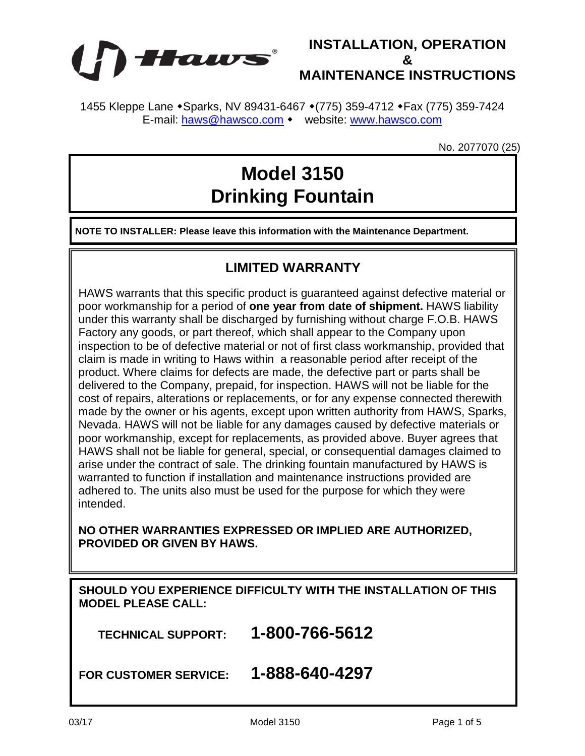

1455 Kleppe Lane • Sparks, NV 89431-6467 • (775) 359-4712 • Fax (775) 359-7424 E-mail: [haws@hawsco.com](mailto:haws@hawsco.com) • website: [www.hawsco.com](http://www.hawsco.com/)

No. 2077070 (25)

## **Model 3150 Drinking Fountain**

**NOTE TO INSTALLER: Please leave this information with the Maintenance Department.**

## **LIMITED WARRANTY**

HAWS warrants that this specific product is guaranteed against defective material or poor workmanship for a period of **one year from date of shipment.** HAWS liability under this warranty shall be discharged by furnishing without charge F.O.B. HAWS Factory any goods, or part thereof, which shall appear to the Company upon inspection to be of defective material or not of first class workmanship, provided that claim is made in writing to Haws within a reasonable period after receipt of the product. Where claims for defects are made, the defective part or parts shall be delivered to the Company, prepaid, for inspection. HAWS will not be liable for the cost of repairs, alterations or replacements, or for any expense connected therewith made by the owner or his agents, except upon written authority from HAWS, Sparks, Nevada. HAWS will not be liable for any damages caused by defective materials or poor workmanship, except for replacements, as provided above. Buyer agrees that HAWS shall not be liable for general, special, or consequential damages claimed to arise under the contract of sale. The drinking fountain manufactured by HAWS is warranted to function if installation and maintenance instructions provided are adhered to. The units also must be used for the purpose for which they were intended.

## **NO OTHER WARRANTIES EXPRESSED OR IMPLIED ARE AUTHORIZED, PROVIDED OR GIVEN BY HAWS.**

**SHOULD YOU EXPERIENCE DIFFICULTY WITH THE INSTALLATION OF THIS MODEL PLEASE CALL:**

 **TECHNICAL SUPPORT: 1-800-766-5612**

**FOR CUSTOMER SERVICE: 1-888-640-4297**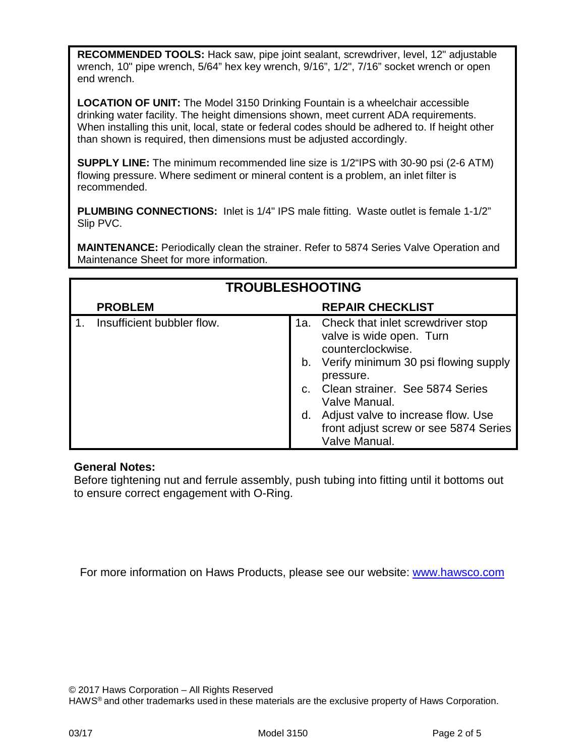**RECOMMENDED TOOLS:** Hack saw, pipe joint sealant, screwdriver, level, 12" adjustable wrench, 10" pipe wrench, 5/64" hex key wrench, 9/16", 1/2", 7/16" socket wrench or open end wrench.

**LOCATION OF UNIT:** The Model 3150 Drinking Fountain is a wheelchair accessible drinking water facility. The height dimensions shown, meet current ADA requirements. When installing this unit, local, state or federal codes should be adhered to. If height other than shown is required, then dimensions must be adjusted accordingly.

**SUPPLY LINE:** The minimum recommended line size is 1/2"IPS with 30-90 psi (2-6 ATM) flowing pressure. Where sediment or mineral content is a problem, an inlet filter is recommended.

**PLUMBING CONNECTIONS:** Inlet is 1/4" IPS male fitting. Waste outlet is female 1-1/2" Slip PVC.

**MAINTENANCE:** Periodically clean the strainer. Refer to 5874 Series Valve Operation and Maintenance Sheet for more information.

| <b>TROUBLESHOOTING</b> |                            |                    |                                                                                                                                                                                                                                                                                                    |
|------------------------|----------------------------|--------------------|----------------------------------------------------------------------------------------------------------------------------------------------------------------------------------------------------------------------------------------------------------------------------------------------------|
|                        | <b>PROBLEM</b>             |                    | <b>REPAIR CHECKLIST</b>                                                                                                                                                                                                                                                                            |
|                        | Insufficient bubbler flow. | $C_{\rm{f}}$<br>d. | 1a. Check that inlet screwdriver stop<br>valve is wide open. Turn<br>counterclockwise.<br>b. Verify minimum 30 psi flowing supply<br>pressure.<br>Clean strainer. See 5874 Series<br>Valve Manual.<br>Adjust valve to increase flow. Use<br>front adjust screw or see 5874 Series<br>Valve Manual. |

## **General Notes:**

Before tightening nut and ferrule assembly, push tubing into fitting until it bottoms out to ensure correct engagement with O-Ring.

For more information on Haws Products, please see our website: [www.hawsco.com](http://www.hawsco.com/)

© 2017 Haws Corporation – All Rights Reserved

HAWS® and other trademarks used in these materials are the exclusive property of Haws Corporation.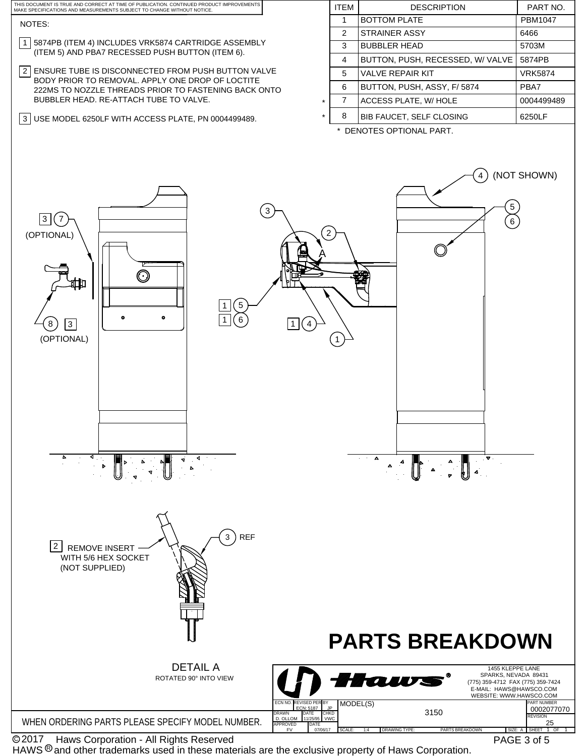

© 2017 Naws Corporation - All Rights Reserved

HAWS  $@$  and other trademarks used in these materials are the exclusive property of Haws Corporation.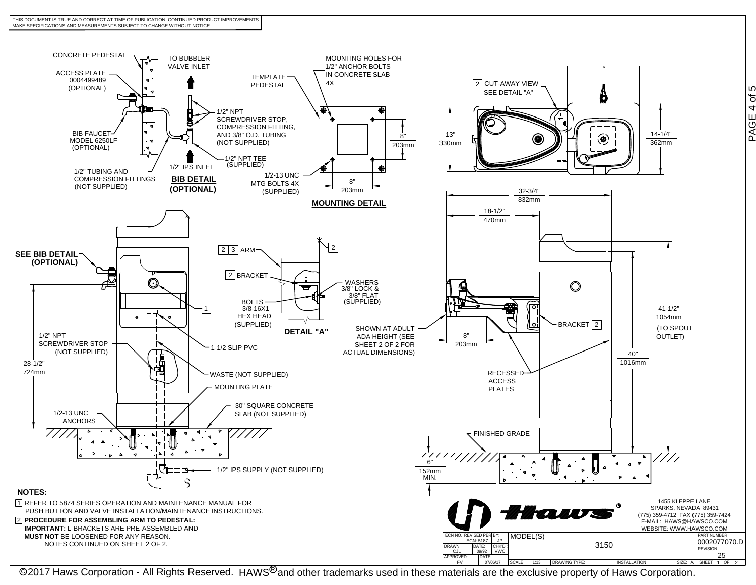![](_page_3_Figure_0.jpeg)

@2017 Haws Corporation - All Rights Reserved. HAWS<sup>®</sup>and other trademarks used in these materials are the exclusive property of Haws Corporation.

PAGE 4 of 5